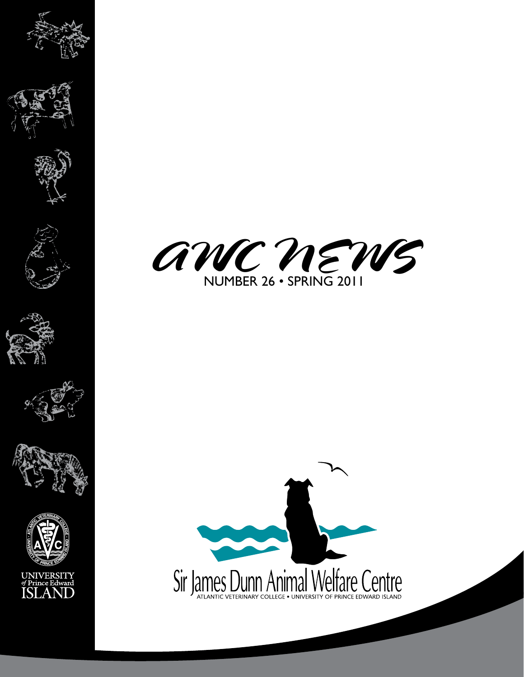

















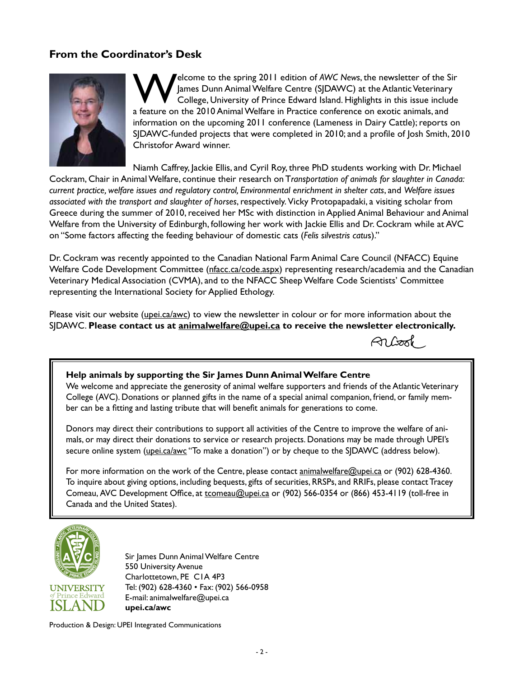# **From the Coordinator's Desk**



Welcome to the spring 2011 edition of *AWC News*, the newsletter of the Sir James Dunn Animal Welfare Centre (SJDAWC) at the Atlantic Veterinary College, University of Prince Edward Island. Highlights in this issue include a feature on the 2010 Animal Welfare in Practice conference on exotic animals, and information on the upcoming 2011 conference (Lameness in Dairy Cattle); reports on SJDAWC-funded projects that were completed in 2010; and a profile of Josh Smith, 2010 Christofor Award winner.

Niamh Caffrey, Jackie Ellis, and Cyril Roy, three PhD students working with Dr. Michael

Cockram, Chair in Animal Welfare, continue their research on T*ransportation of animals for slaughter in Canada: current practice, welfare issues and regulatory control, Environmental enrichment in shelter cats*, and *Welfare issues associated with the transport and slaughter of horses*, respectively. Vicky Protopapadaki, a visiting scholar from Greece during the summer of 2010, received her MSc with distinction in Applied Animal Behaviour and Animal Welfare from the University of Edinburgh, following her work with Jackie Ellis and Dr. Cockram while at AVC on "Some factors affecting the feeding behaviour of domestic cats (*Felis silvestris catu*s)."

Dr. Cockram was recently appointed to the Canadian National Farm Animal Care Council (NFACC) Equine Welfare Code Development Committee (nfacc.ca/code.aspx) representing research/academia and the Canadian Veterinary Medical Association (CVMA), and to the NFACC Sheep Welfare Code Scientists' Committee representing the International Society for Applied Ethology.

Please visit our website (upei.ca/awc) to view the newsletter in colour or for more information about the SJDAWC. **Please contact us at animalwelfare@upei.ca to receive the newsletter electronically.** 

Albook

#### **Help animals by supporting the Sir James Dunn Animal Welfare Centre**

We welcome and appreciate the generosity of animal welfare supporters and friends of the Atlantic Veterinary College (AVC). Donations or planned gifts in the name of a special animal companion, friend, or family member can be a fitting and lasting tribute that will benefit animals for generations to come.

Donors may direct their contributions to support all activities of the Centre to improve the welfare of animals, or may direct their donations to service or research projects. Donations may be made through UPEI's secure online system (upei.ca/awc "To make a donation") or by cheque to the SJDAWC (address below).

For more information on the work of the Centre, please contact animalwelfare@upei.ca or (902) 628-4360. To inquire about giving options, including bequests, gifts of securities, RRSPs, and RRIFs, please contact Tracey Comeau, AVC Development Office, at tcomeau@upei.ca or (902) 566-0354 or (866) 453-4119 (toll-free in Canada and the United States).



Sir James Dunn Animal Welfare Centre 550 University Avenue Charlottetown, PE C1A 4P3 Tel: (902) 628-4360 • Fax: (902) 566-0958 E-mail: animalwelfare@upei.ca **upei.ca/awc**

Production & Design: UPEI Integrated Communications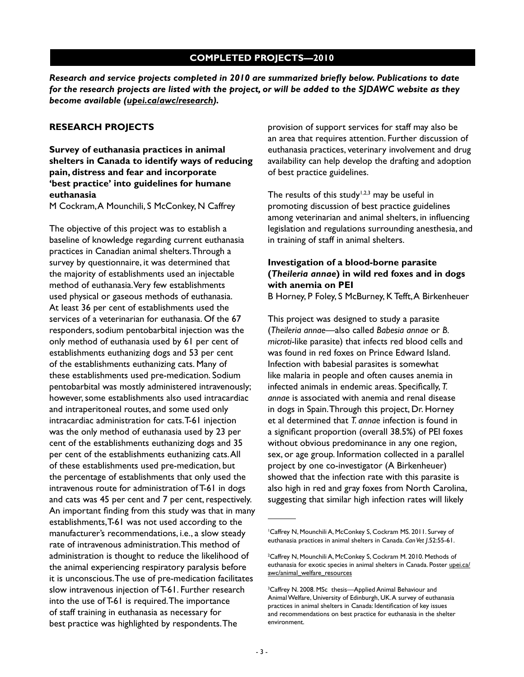### **COMPLETED PROJECTS—2010**

*Research and service projects completed in 2010 are summarized briefly below. Publications to date for the research projects are listed with the project, or will be added to the SJDAWC website as they become available (upei.ca/awc/research).*

#### **RESEARCH PROJECTS**

**Survey of euthanasia practices in animal shelters in Canada to identify ways of reducing pain, distress and fear and incorporate 'best practice' into guidelines for humane euthanasia**

M Cockram, A Mounchili, S McConkey, N Caffrey

The objective of this project was to establish a baseline of knowledge regarding current euthanasia practices in Canadian animal shelters. Through a survey by questionnaire, it was determined that the majority of establishments used an injectable method of euthanasia. Very few establishments used physical or gaseous methods of euthanasia. At least 36 per cent of establishments used the services of a veterinarian for euthanasia. Of the 67 responders, sodium pentobarbital injection was the only method of euthanasia used by 61 per cent of establishments euthanizing dogs and 53 per cent of the establishments euthanizing cats. Many of these establishments used pre-medication. Sodium pentobarbital was mostly administered intravenously; however, some establishments also used intracardiac and intraperitoneal routes, and some used only intracardiac administration for cats. T-61 injection was the only method of euthanasia used by 23 per cent of the establishments euthanizing dogs and 35 per cent of the establishments euthanizing cats. All of these establishments used pre-medication, but the percentage of establishments that only used the intravenous route for administration of T-61 in dogs and cats was 45 per cent and 7 per cent, respectively. An important finding from this study was that in many establishments, T-61 was not used according to the manufacturer's recommendations, i.e., a slow steady rate of intravenous administration. This method of administration is thought to reduce the likelihood of the animal experiencing respiratory paralysis before it is unconscious. The use of pre-medication facilitates slow intravenous injection of T-61. Further research into the use of T-61 is required. The importance of staff training in euthanasia as necessary for best practice was highlighted by respondents. The

provision of support services for staff may also be an area that requires attention. Further discussion of euthanasia practices, veterinary involvement and drug availability can help develop the drafting and adoption of best practice guidelines.

The results of this study<sup>1,2,3</sup> may be useful in promoting discussion of best practice guidelines among veterinarian and animal shelters, in influencing legislation and regulations surrounding anesthesia, and in training of staff in animal shelters.

## **Investigation of a blood-borne parasite (***Theileria annae***) in wild red foxes and in dogs with anemia on PEI**

B Horney, P Foley, S McBurney, K Tefft, A Birkenheuer

This project was designed to study a parasite (*Theileria annae*—also called *Babesia annae* or *B. microti*-like parasite) that infects red blood cells and was found in red foxes on Prince Edward Island. Infection with babesial parasites is somewhat like malaria in people and often causes anemia in infected animals in endemic areas. Specifically, *T. annae* is associated with anemia and renal disease in dogs in Spain. Through this project, Dr. Horney et al determined that *T. annae* infection is found in a significant proportion (overall 38.5%) of PEI foxes without obvious predominance in any one region, sex, or age group. Information collected in a parallel project by one co-investigator (A Birkenheuer) showed that the infection rate with this parasite is also high in red and gray foxes from North Carolina, suggesting that similar high infection rates will likely

<sup>1</sup> Caffrey N, Mounchili A, McConkey S, Cockram MS. 2011. Survey of euthanasia practices in animal shelters in Canada. *Can Vet J*.52:55-61.

<sup>&</sup>lt;sup>2</sup>Caffrey N, Mounchili A, McConkey S, Cockram M. 2010. Methods of euthanasia for exotic species in animal shelters in Canada. Poster upei.cal awc/animal\_welfare\_resources

<sup>&</sup>lt;sup>3</sup>Caffrey N. 2008. MSc thesis—Applied Animal Behaviour and Animal Welfare, University of Edinburgh, UK. A survey of euthanasia practices in animal shelters in Canada: Identification of key issues and recommendations on best practice for euthanasia in the shelter environment.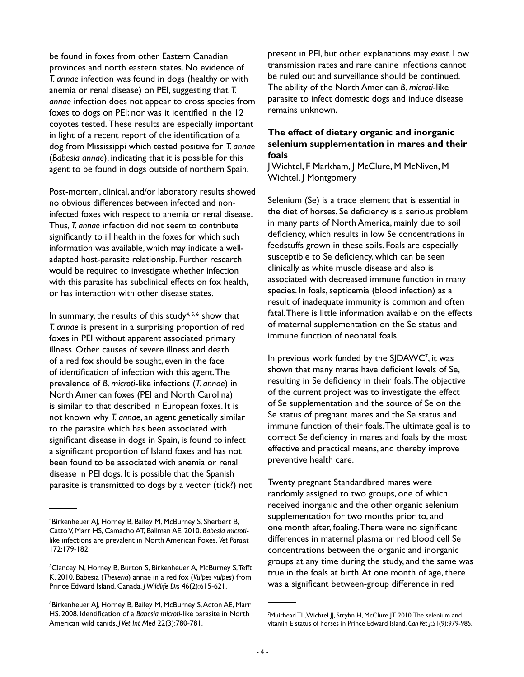be found in foxes from other Eastern Canadian provinces and north eastern states. No evidence of *T. annae* infection was found in dogs (healthy or with anemia or renal disease) on PEI, suggesting that *T. annae* infection does not appear to cross species from foxes to dogs on PEI; nor was it identified in the 12 coyotes tested. These results are especially important in light of a recent report of the identification of a dog from Mississippi which tested positive for *T. annae* (*Babesia annae*), indicating that it is possible for this agent to be found in dogs outside of northern Spain.

Post-mortem, clinical, and/or laboratory results showed no obvious differences between infected and noninfected foxes with respect to anemia or renal disease. Thus, *T. annae* infection did not seem to contribute significantly to ill health in the foxes for which such information was available, which may indicate a welladapted host-parasite relationship. Further research would be required to investigate whether infection with this parasite has subclinical effects on fox health, or has interaction with other disease states.

In summary, the results of this study<sup>4,5,6</sup> show that *T. annae* is present in a surprising proportion of red foxes in PEI without apparent associated primary illness. Other causes of severe illness and death of a red fox should be sought, even in the face of identification of infection with this agent. The prevalence of *B. microti*-like infections (*T. annae*) in North American foxes (PEI and North Carolina) is similar to that described in European foxes. It is not known why *T. annae*, an agent genetically similar to the parasite which has been associated with significant disease in dogs in Spain, is found to infect a significant proportion of Island foxes and has not been found to be associated with anemia or renal disease in PEI dogs. It is possible that the Spanish parasite is transmitted to dogs by a vector (tick?) not present in PEI, but other explanations may exist. Low transmission rates and rare canine infections cannot be ruled out and surveillance should be continued. The ability of the North American *B. microti*-like parasite to infect domestic dogs and induce disease remains unknown.

### **The effect of dietary organic and inorganic selenium supplementation in mares and their foals**

J Wichtel, F Markham, J McClure, M McNiven, M Wichtel, J Montgomery

Selenium (Se) is a trace element that is essential in the diet of horses. Se deficiency is a serious problem in many parts of North America, mainly due to soil deficiency, which results in low Se concentrations in feedstuffs grown in these soils. Foals are especially susceptible to Se deficiency, which can be seen clinically as white muscle disease and also is associated with decreased immune function in many species. In foals, septicemia (blood infection) as a result of inadequate immunity is common and often fatal. There is little information available on the effects of maternal supplementation on the Se status and immune function of neonatal foals.

In previous work funded by the SJDAWC<sup>7</sup>, it was shown that many mares have deficient levels of Se, resulting in Se deficiency in their foals. The objective of the current project was to investigate the effect of Se supplementation and the source of Se on the Se status of pregnant mares and the Se status and immune function of their foals. The ultimate goal is to correct Se deficiency in mares and foals by the most effective and practical means, and thereby improve preventive health care.

Twenty pregnant Standardbred mares were randomly assigned to two groups, one of which received inorganic and the other organic selenium supplementation for two months prior to, and one month after, foaling. There were no significant differences in maternal plasma or red blood cell Se concentrations between the organic and inorganic groups at any time during the study, and the same was true in the foals at birth. At one month of age, there was a significant between-group difference in red

<sup>4</sup> Birkenheuer AJ, Horney B, Bailey M, McBurney S, Sherbert B, Catto V, Marr HS, Camacho AT, Ballman AE. 2010. *Babesia microti*like infections are prevalent in North American Foxes. *Vet Parasit* 172:179-182.

<sup>&</sup>lt;sup>5</sup>Clancey N, Horney B, Burton S, Birkenheuer A, McBurney S, Tefft K. 2010. Babesia (*Theileria*) annae in a red fox (*Vulpes vulpes*) from Prince Edward Island, Canada. *J Wildlife Dis* 46(2):615-621.

<sup>6</sup> Birkenheuer AJ, Horney B, Bailey M, McBurney S, Acton AE, Marr HS. 2008. Identification of a *Babesia microti*-like parasite in North American wild canids. *J Vet Int Med* 22(3):780-781.

<sup>&</sup>lt;sup>7</sup>Muirhead TL, Wichtel JJ, Stryhn H, McClure JT. 2010. The selenium and vitamin E status of horses in Prince Edward Island. *Can Vet J*;51(9):979-985.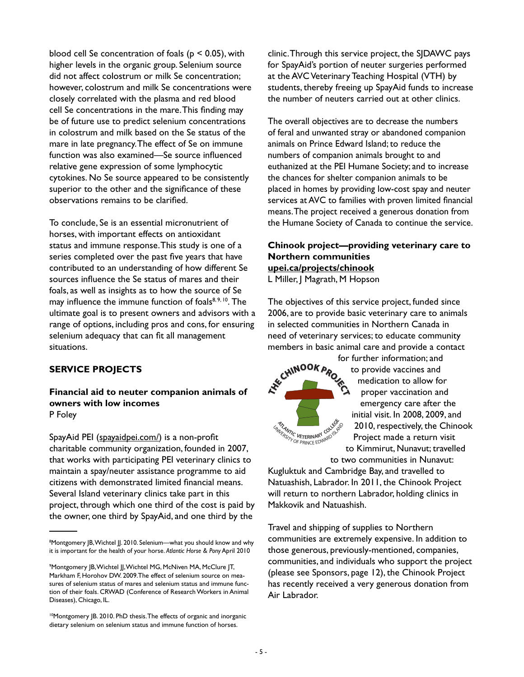blood cell Se concentration of foals ( $p < 0.05$ ), with higher levels in the organic group. Selenium source did not affect colostrum or milk Se concentration; however, colostrum and milk Se concentrations were closely correlated with the plasma and red blood cell Se concentrations in the mare. This finding may be of future use to predict selenium concentrations in colostrum and milk based on the Se status of the mare in late pregnancy. The effect of Se on immune function was also examined—Se source influenced relative gene expression of some lymphocytic cytokines. No Se source appeared to be consistently superior to the other and the significance of these observations remains to be clarified.

To conclude, Se is an essential micronutrient of horses, with important effects on antioxidant status and immune response. This study is one of a series completed over the past five years that have contributed to an understanding of how different Se sources influence the Se status of mares and their foals, as well as insights as to how the source of Se may influence the immune function of foals<sup>8, 9, 10</sup>. The ultimate goal is to present owners and advisors with a range of options, including pros and cons, for ensuring selenium adequacy that can fit all management situations.

## **SERVICE PROJECTS**

Ī

**Financial aid to neuter companion animals of owners with low incomes** P Foley

SpayAid PEI (spayaidpei.com/) is a non-profit charitable community organization, founded in 2007, that works with participating PEI veterinary clinics to maintain a spay/neuter assistance programme to aid citizens with demonstrated limited financial means. Several Island veterinary clinics take part in this project, through which one third of the cost is paid by the owner, one third by SpayAid, and one third by the

clinic. Through this service project, the SJDAWC pays for SpayAid's portion of neuter surgeries performed at the AVC Veterinary Teaching Hospital (VTH) by students, thereby freeing up SpayAid funds to increase the number of neuters carried out at other clinics.

The overall objectives are to decrease the numbers of feral and unwanted stray or abandoned companion animals on Prince Edward Island; to reduce the numbers of companion animals brought to and euthanized at the PEI Humane Society; and to increase the chances for shelter companion animals to be placed in homes by providing low-cost spay and neuter services at AVC to families with proven limited financial means. The project received a generous donation from the Humane Society of Canada to continue the service.

# **Chinook project—providing veterinary care to Northern communities upei.ca/projects/chinook**

L Miller, J Magrath, M Hopson

The objectives of this service project, funded since 2006, are to provide basic veterinary care to animals in selected communities in Northern Canada in need of veterinary services; to educate community members in basic animal care and provide a contact

EX<sup>EC</sup>HIMOOK **STRANTIC VETERINARY CONSISTS** 

for further information; and to provide vaccines and medication to allow for proper vaccination and emergency care after the initial visit. In 2008, 2009, and 2010, respectively, the Chinook Project made a return visit to Kimmirut, Nunavut; travelled

to two communities in Nunavut: Kugluktuk and Cambridge Bay, and travelled to Natuashish, Labrador. In 2011, the Chinook Project will return to northern Labrador, holding clinics in Makkovik and Natuashish.

Travel and shipping of supplies to Northern communities are extremely expensive. In addition to those generous, previously-mentioned, companies, communities, and individuals who support the project (please see Sponsors, page 12), the Chinook Project has recently received a very generous donation from Air Labrador.

<sup>&</sup>lt;sup>8</sup>Montgomery JB, Wichtel JJ. 2010. Selenium—what you should know and why it is important for the health of your horse. *Atlantic Horse & Pony* April 2010

<sup>9</sup> Montgomery JB, Wichtel JJ, Wichtel MG, McNiven MA, McClure JT, Markham F, Horohov DW. 2009.The effect of selenium source on measures of selenium status of mares and selenium status and immune function of their foals. CRWAD (Conference of Research Workers in Animal Diseases), Chicago, IL.

<sup>&</sup>lt;sup>10</sup>Montgomery JB. 2010. PhD thesis. The effects of organic and inorganic dietary selenium on selenium status and immune function of horses.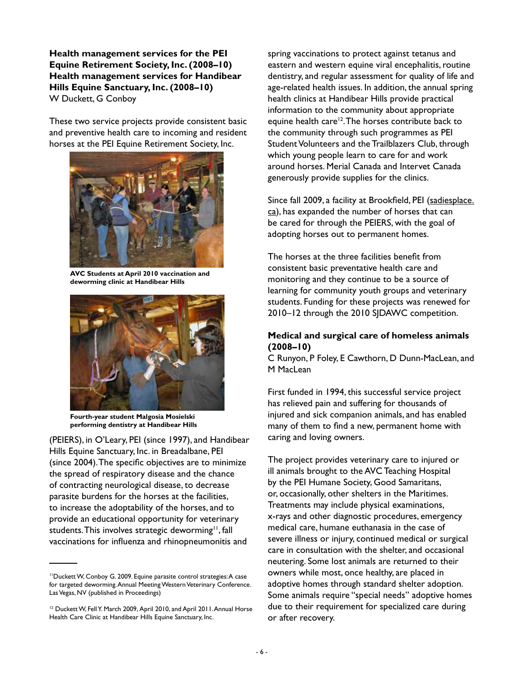**Health management services for the PEI Equine Retirement Society, Inc. (2008–10) Health management services for Handibear Hills Equine Sanctuary, Inc. (2008–10)** W Duckett, G Conboy

These two service projects provide consistent basic and preventive health care to incoming and resident horses at the PEI Equine Retirement Society, Inc.



**AVC Students at April 2010 vaccination and deworming clinic at Handibear Hills**



**Fourth-year student Malgosia Mosielski performing dentistry at Handibear Hills**

(PEIERS), in O'Leary, PEI (since 1997), and Handibear Hills Equine Sanctuary, Inc. in Breadalbane, PEI (since 2004). The specific objectives are to minimize the spread of respiratory disease and the chance of contracting neurological disease, to decrease parasite burdens for the horses at the facilities, to increase the adoptability of the horses, and to provide an educational opportunity for veterinary students. This involves strategic deworming<sup>11</sup>, fall vaccinations for influenza and rhinopneumonitis and

spring vaccinations to protect against tetanus and eastern and western equine viral encephalitis, routine dentistry, and regular assessment for quality of life and age-related health issues. In addition, the annual spring health clinics at Handibear Hills provide practical information to the community about appropriate equine health care<sup>12</sup>. The horses contribute back to the community through such programmes as PEI Student Volunteers and the Trailblazers Club, through which young people learn to care for and work around horses. Merial Canada and Intervet Canada generously provide supplies for the clinics.

Since fall 2009, a facility at Brookfield, PEI (sadiesplace. ca), has expanded the number of horses that can be cared for through the PEIERS, with the goal of adopting horses out to permanent homes.

The horses at the three facilities benefit from consistent basic preventative health care and monitoring and they continue to be a source of learning for community youth groups and veterinary students. Funding for these projects was renewed for 2010–12 through the 2010 SJDAWC competition.

#### **Medical and surgical care of homeless animals (2008–10)**

C Runyon, P Foley, E Cawthorn, D Dunn-MacLean, and M MacLean

First funded in 1994, this successful service project has relieved pain and suffering for thousands of injured and sick companion animals, and has enabled many of them to find a new, permanent home with caring and loving owners.

The project provides veterinary care to injured or ill animals brought to the AVC Teaching Hospital by the PEI Humane Society, Good Samaritans, or, occasionally, other shelters in the Maritimes. Treatments may include physical examinations, x-rays and other diagnostic procedures, emergency medical care, humane euthanasia in the case of severe illness or injury, continued medical or surgical care in consultation with the shelter, and occasional neutering. Some lost animals are returned to their owners while most, once healthy, are placed in adoptive homes through standard shelter adoption. Some animals require "special needs" adoptive homes due to their requirement for specialized care during or after recovery.

<sup>11</sup>Duckett W, Conboy G. 2009. Equine parasite control strategies: A case for targeted deworming. Annual Meeting Western Veterinary Conference. Las Vegas, NV (published in Proceedings)

<sup>&</sup>lt;sup>12</sup> Duckett W, Fell Y. March 2009, April 2010, and April 2011. Annual Horse Health Care Clinic at Handibear Hills Equine Sanctuary, Inc.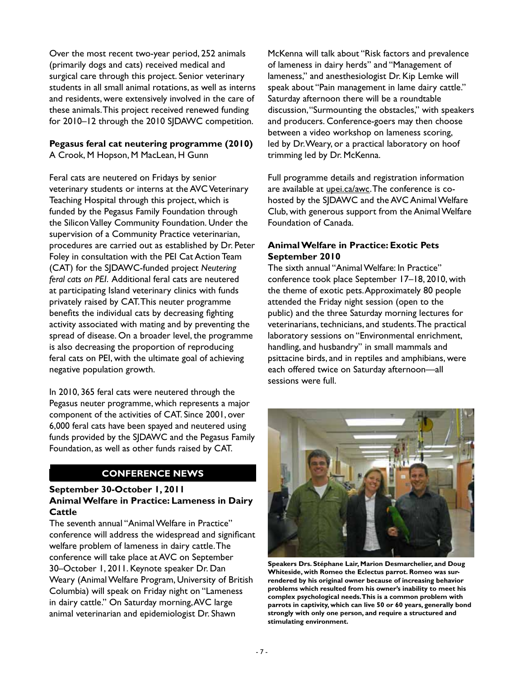Over the most recent two-year period, 252 animals (primarily dogs and cats) received medical and surgical care through this project. Senior veterinary students in all small animal rotations, as well as interns and residents, were extensively involved in the care of these animals. This project received renewed funding for 2010–12 through the 2010 SJDAWC competition.

# **Pegasus feral cat neutering programme (2010)**

A Crook, M Hopson, M MacLean, H Gunn

Feral cats are neutered on Fridays by senior veterinary students or interns at the AVC Veterinary Teaching Hospital through this project, which is funded by the Pegasus Family Foundation through the Silicon Valley Community Foundation. Under the supervision of a Community Practice veterinarian, procedures are carried out as established by Dr. Peter Foley in consultation with the PEI Cat Action Team (CAT) for the SJDAWC-funded project *Neutering feral cats on PEI*. Additional feral cats are neutered at participating Island veterinary clinics with funds privately raised by CAT. This neuter programme benefits the individual cats by decreasing fighting activity associated with mating and by preventing the spread of disease. On a broader level, the programme is also decreasing the proportion of reproducing feral cats on PEI, with the ultimate goal of achieving negative population growth.

In 2010, 365 feral cats were neutered through the Pegasus neuter programme, which represents a major component of the activities of CAT. Since 2001, over 6,000 feral cats have been spayed and neutered using funds provided by the SJDAWC and the Pegasus Family Foundation, as well as other funds raised by CAT.

# **CONFERENCE NEWS**

## **September 30-October 1, 2011 Animal Welfare in Practice: Lameness in Dairy Cattle**

The seventh annual "Animal Welfare in Practice" conference will address the widespread and significant welfare problem of lameness in dairy cattle. The conference will take place at AVC on September 30–October 1, 2011. Keynote speaker Dr. Dan Weary (Animal Welfare Program, University of British Columbia) will speak on Friday night on "Lameness in dairy cattle." On Saturday morning, AVC large animal veterinarian and epidemiologist Dr. Shawn

McKenna will talk about "Risk factors and prevalence of lameness in dairy herds" and "Management of lameness," and anesthesiologist Dr. Kip Lemke will speak about "Pain management in lame dairy cattle." Saturday afternoon there will be a roundtable discussion, "Surmounting the obstacles," with speakers and producers. Conference-goers may then choose between a video workshop on lameness scoring, led by Dr. Weary, or a practical laboratory on hoof trimming led by Dr. McKenna.

Full programme details and registration information are available at upei.ca/awc. The conference is cohosted by the SJDAWC and the AVC Animal Welfare Club, with generous support from the Animal Welfare Foundation of Canada.

## **Animal Welfare in Practice: Exotic Pets September 2010**

The sixth annual "Animal Welfare: In Practice" conference took place September 17–18, 2010, with the theme of exotic pets. Approximately 80 people attended the Friday night session (open to the public) and the three Saturday morning lectures for veterinarians, technicians, and students. The practical laboratory sessions on "Environmental enrichment, handling, and husbandry" in small mammals and psittacine birds, and in reptiles and amphibians, were each offered twice on Saturday afternoon—all sessions were full.



**Speakers Drs. Stéphane Lair, Marion Desmarchelier, and Doug Whiteside, with Romeo the Eclectus parrot. Romeo was surrendered by his original owner because of increasing behavior problems which resulted from his owner's inability to meet his complex psychological needs. This is a common problem with parrots in captivity, which can live 50 or 60 years, generally bond strongly with only one person, and require a structured and stimulating environment.**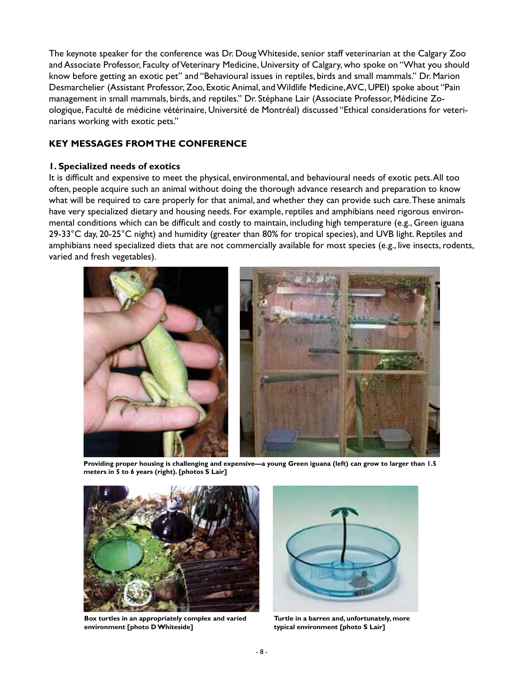The keynote speaker for the conference was Dr. Doug Whiteside, senior staff veterinarian at the Calgary Zoo and Associate Professor, Faculty of Veterinary Medicine, University of Calgary, who spoke on "What you should know before getting an exotic pet" and "Behavioural issues in reptiles, birds and small mammals." Dr. Marion Desmarchelier (Assistant Professor, Zoo, Exotic Animal, and Wildlife Medicine, AVC, UPEI) spoke about "Pain management in small mammals, birds, and reptiles." Dr. Stéphane Lair (Associate Professor, Médicine Zoologique, Faculté de médicine vétérinaire, Université de Montréal) discussed "Ethical considerations for veterinarians working with exotic pets."

## **KEY MESSAGES FROM THE CONFERENCE**

#### **1. Specialized needs of exotics**

It is difficult and expensive to meet the physical, environmental, and behavioural needs of exotic pets. All too often, people acquire such an animal without doing the thorough advance research and preparation to know what will be required to care properly for that animal, and whether they can provide such care. These animals have very specialized dietary and housing needs. For example, reptiles and amphibians need rigorous environmental conditions which can be difficult and costly to maintain, including high temperature (e.g., Green iguana 29-33 $^{\circ}$ C day, 20-25 $^{\circ}$ C night) and humidity (greater than 80% for tropical species), and UVB light. Reptiles and amphibians need specialized diets that are not commercially available for most species (e.g., live insects, rodents, varied and fresh vegetables).



**Providing proper housing is challenging and expensive—a young Green iguana (left) can grow to larger than 1.5 meters in 5 to 6 years (right). [photos S Lair]**



**Box turtles in an appropriately complex and varied environment [photo D Whiteside]**



**Turtle in a barren and, unfortunately, more typical environment [photo S Lair]**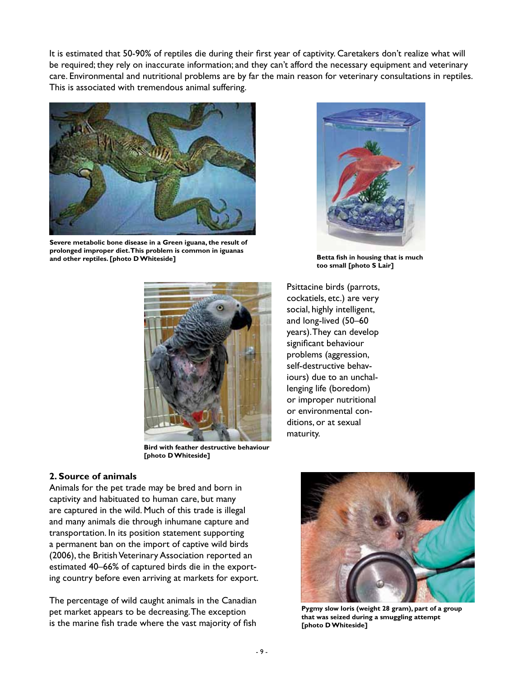It is estimated that 50-90% of reptiles die during their first year of captivity. Caretakers don't realize what will be required; they rely on inaccurate information; and they can't afford the necessary equipment and veterinary care. Environmental and nutritional problems are by far the main reason for veterinary consultations in reptiles. This is associated with tremendous animal suffering.



**Severe metabolic bone disease in a Green iguana, the result of prolonged improper diet. This problem is common in iguanas and other reptiles. [photo D Whiteside]**



**Betta fish in housing that is much too small [photo S Lair]**



**Bird with feather destructive behaviour [photo D Whiteside]**

#### **2. Source of animals**

Animals for the pet trade may be bred and born in captivity and habituated to human care, but many are captured in the wild. Much of this trade is illegal and many animals die through inhumane capture and transportation. In its position statement supporting a permanent ban on the import of captive wild birds (2006), the British Veterinary Association reported an estimated 40–66% of captured birds die in the exporting country before even arriving at markets for export.

The percentage of wild caught animals in the Canadian pet market appears to be decreasing. The exception is the marine fish trade where the vast majority of fish

Psittacine birds (parrots, cockatiels, etc.) are very social, highly intelligent, and long-lived (50–60 years). They can develop significant behaviour problems (aggression, self-destructive behaviours) due to an unchallenging life (boredom) or improper nutritional or environmental conditions, or at sexual maturity.



**Pygmy slow loris (weight 28 gram), part of a group that was seized during a smuggling attempt [photo D Whiteside]**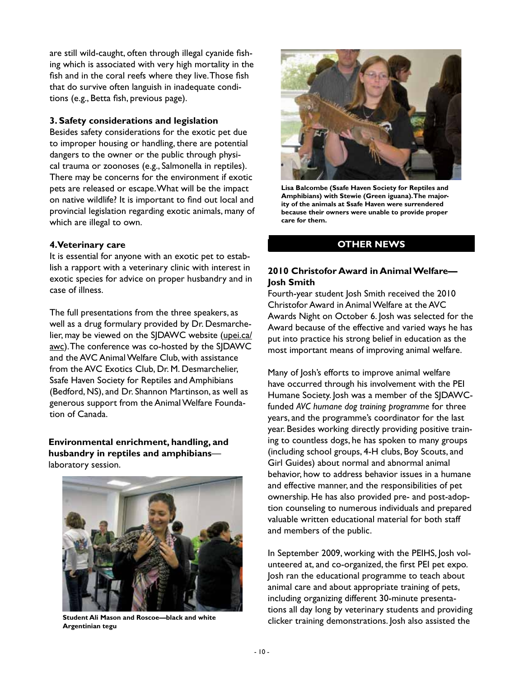are still wild-caught, often through illegal cyanide fishing which is associated with very high mortality in the fish and in the coral reefs where they live. Those fish that do survive often languish in inadequate conditions (e.g., Betta fish, previous page).

#### **3. Safety considerations and legislation**

Besides safety considerations for the exotic pet due to improper housing or handling, there are potential dangers to the owner or the public through physical trauma or zoonoses (e.g., Salmonella in reptiles). There may be concerns for the environment if exotic pets are released or escape. What will be the impact on native wildlife? It is important to find out local and provincial legislation regarding exotic animals, many of which are illegal to own.

#### **4.Veterinary care**

It is essential for anyone with an exotic pet to establish a rapport with a veterinary clinic with interest in exotic species for advice on proper husbandry and in case of illness.

The full presentations from the three speakers, as well as a drug formulary provided by Dr. Desmarchelier, may be viewed on the SJDAWC website (upei.ca/ awc). The conference was co-hosted by the SJDAWC and the AVC Animal Welfare Club, with assistance from the AVC Exotics Club, Dr. M. Desmarchelier, Ssafe Haven Society for Reptiles and Amphibians (Bedford, NS), and Dr. Shannon Martinson, as well as generous support from the Animal Welfare Foundation of Canada.

**Environmental enrichment, handling, and husbandry in reptiles and amphibians** laboratory session.



**Student Ali Mason and Roscoe—black and white Argentinian tegu**



**Lisa Balcombe (Ssafe Haven Society for Reptiles and Amphibians) with Stewie (Green iguana). The majority of the animals at Ssafe Haven were surrendered because their owners were unable to provide proper care for them.**

### **OTHER NEWS**

## **2010 Christofor Award in Animal Welfare— Josh Smith**

Fourth-year student Josh Smith received the 2010 Christofor Award in Animal Welfare at the AVC Awards Night on October 6. Josh was selected for the Award because of the effective and varied ways he has put into practice his strong belief in education as the most important means of improving animal welfare.

Many of Josh's efforts to improve animal welfare have occurred through his involvement with the PEI Humane Society. Josh was a member of the SJDAWCfunded *AVC humane dog training programme* for three years, and the programme's coordinator for the last year. Besides working directly providing positive training to countless dogs, he has spoken to many groups (including school groups, 4-H clubs, Boy Scouts, and Girl Guides) about normal and abnormal animal behavior, how to address behavior issues in a humane and effective manner, and the responsibilities of pet ownership. He has also provided pre- and post-adoption counseling to numerous individuals and prepared valuable written educational material for both staff and members of the public.

In September 2009, working with the PEIHS, Josh volunteered at, and co-organized, the first PEI pet expo. Josh ran the educational programme to teach about animal care and about appropriate training of pets, including organizing different 30-minute presentations all day long by veterinary students and providing clicker training demonstrations. Josh also assisted the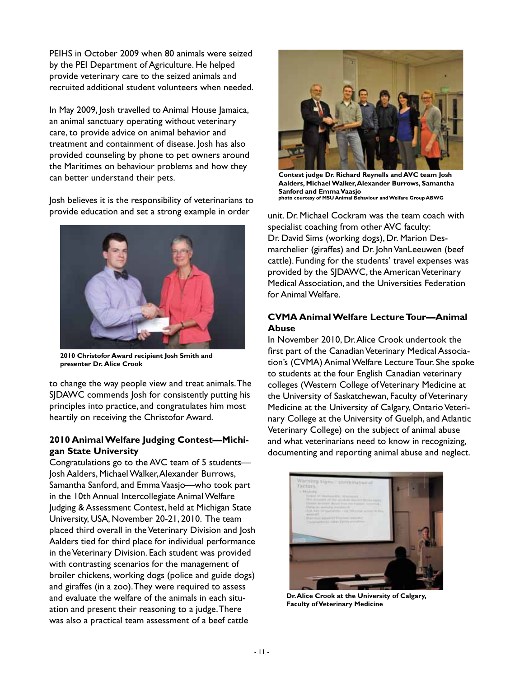PEIHS in October 2009 when 80 animals were seized by the PEI Department of Agriculture. He helped provide veterinary care to the seized animals and recruited additional student volunteers when needed.

In May 2009, Josh travelled to Animal House Jamaica, an animal sanctuary operating without veterinary care, to provide advice on animal behavior and treatment and containment of disease. Josh has also provided counseling by phone to pet owners around the Maritimes on behaviour problems and how they can better understand their pets.

Josh believes it is the responsibility of veterinarians to provide education and set a strong example in order



**2010 Christofor Award recipient Josh Smith and presenter Dr. Alice Crook**

to change the way people view and treat animals. The SIDAWC commends losh for consistently putting his principles into practice, and congratulates him most heartily on receiving the Christofor Award.

## **2010 Animal Welfare Judging Contest—Michigan State University**

Congratulations go to the AVC team of 5 students— Josh Aalders, Michael Walker, Alexander Burrows, Samantha Sanford, and Emma Vaasjo—who took part in the 10th Annual Intercollegiate Animal Welfare Judging & Assessment Contest, held at Michigan State University, USA, November 20-21, 2010. The team placed third overall in the Veterinary Division and Josh Aalders tied for third place for individual performance in the Veterinary Division. Each student was provided with contrasting scenarios for the management of broiler chickens, working dogs (police and guide dogs) and giraffes (in a zoo). They were required to assess and evaluate the welfare of the animals in each situation and present their reasoning to a judge. There was also a practical team assessment of a beef cattle



**Contest judge Dr. Richard Reynells and AVC team Josh Aalders, Michael Walker, Alexander Burrows, Samantha Sanford and Emma Vaasjo photo courtesy of MSU Animal Behaviour and Welfare Group ABWG**

unit. Dr. Michael Cockram was the team coach with specialist coaching from other AVC faculty: Dr. David Sims (working dogs), Dr. Marion Desmarchelier (giraffes) and Dr. John VanLeeuwen (beef cattle). Funding for the students' travel expenses was provided by the SJDAWC, the American Veterinary Medical Association, and the Universities Federation for Animal Welfare.

### **CVMA Animal Welfare Lecture Tour—Animal Abuse**

In November 2010, Dr. Alice Crook undertook the first part of the Canadian Veterinary Medical Association's (CVMA) Animal Welfare Lecture Tour. She spoke to students at the four English Canadian veterinary colleges (Western College of Veterinary Medicine at the University of Saskatchewan, Faculty of Veterinary Medicine at the University of Calgary, Ontario Veterinary College at the University of Guelph, and Atlantic Veterinary College) on the subject of animal abuse and what veterinarians need to know in recognizing, documenting and reporting animal abuse and neglect.



**Dr. Alice Crook at the University of Calgary, Faculty of Veterinary Medicine**